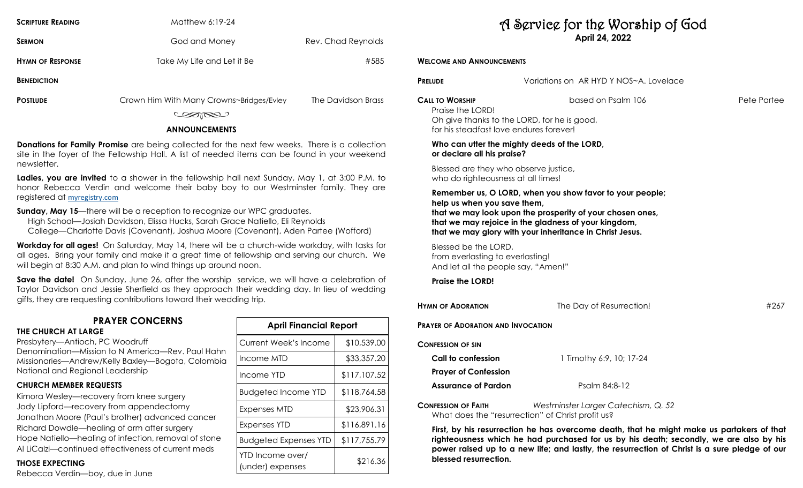| <b>SCRIPTURE READING</b> | Matthew 6:19-24            |                    |
|--------------------------|----------------------------|--------------------|
| <b>SERMON</b>            | God and Money              | Rev. Chad Reynolds |
| <b>HYMN OF RESPONSE</b>  | Take My Life and Let it Be | #585               |
| <b>BENEDICTION</b>       |                            |                    |

| <b>POSTILIDE</b> |  |
|------------------|--|

| The Davidson Brass |
|--------------------|
|                    |

COORD

#### **ANNOUNCEMENTS**

**Donations for Family Promise** are being collected for the next few weeks. There is a collection site in the foyer of the Fellowship Hall. A list of needed items can be found in your weekend newsletter.

**Ladies, you are invited** to a shower in the fellowship hall next Sunday, May 1, at 3:00 P.M. to honor Rebecca Verdin and welcome their baby boy to our Westminster family. They are registered at [myregistry.com](http://myregistry.com)

**Sunday, May 15**—there will be a reception to recognize our WPC graduates.

 High School—Josiah Davidson, Elissa Hucks, Sarah Grace Natiello, Eli Reynolds College—Charlotte Davis (Covenant), Joshua Moore (Covenant), Aden Partee (Wofford)

**Workday for all ages!** On Saturday, May 14, there will be a church-wide workday, with tasks for all ages. Bring your family and make it a great time of fellowship and serving our church. We will begin at 8:30 A.M. and plan to wind things up around noon.

**Save the date!** On Sunday, June 26, after the worship service, we will have a celebration of Taylor Davidson and Jessie Sherfield as they approach their wedding day. In lieu of wedding gifts, they are requesting contributions toward their wedding trip.

# **PRAYER CONCERNS**

#### **THE CHURCH AT LARGE**

Presbytery—Antioch, PC Woodruff

Denomination—Mission to N America—Rev. Paul Hahn Missionaries—Andrew/Kelly Baxley—Bogota, Colombia National and Regional Leadership

## **CHURCH MEMBER REQUESTS**

Kimora Wesley—recovery from knee surgery Jody Lipford—recovery from appendectomy Jonathan Moore (Paul's brother) advanced cancer Richard Dowdle—healing of arm after surgery Hope Natiello—healing of infection, removal of stone Al LiCalzi—continued effectiveness of current meds

## **THOSE EXPECTING**

Rebecca Verdin—boy, due in June

| <b>April Financial Report</b>        |              |  |  |
|--------------------------------------|--------------|--|--|
| <b>Current Week's Income</b>         | \$10,539.00  |  |  |
| Income MTD                           | \$33,357.20  |  |  |
| Income YTD                           | \$117,107.52 |  |  |
| <b>Budgeted Income YTD</b>           | \$118,764.58 |  |  |
| Expenses MTD                         | \$23,906.31  |  |  |
| Expenses YTD                         | \$116,891.16 |  |  |
| <b>Budgeted Expenses YTD</b>         | \$117,755.79 |  |  |
| YTD Income over/<br>(under) expenses | \$216.36     |  |  |

# A Service for the Worship of God **April 24, 2022**

**WELCOME AND ANNOUNCEMENTS PRELUDE** Variations on AR HYD Y NOS~A. Lovelace **CALL TO WORSHIP** based on Psalm 106 Pete Partee Praise the LORD! Oh give thanks to the LORD, for he is good, for his steadfast love endures forever! **Who can utter the mighty deeds of the LORD, or declare all his praise?** Blessed are they who observe justice, who do righteousness at all times! **Remember us, O LORD, when you show favor to your people; help us when you save them, that we may look upon the prosperity of your chosen ones, that we may rejoice in the gladness of your kingdom, that we may glory with your inheritance in Christ Jesus.** Blessed be the LORD, from everlasting to everlasting! And let all the people say, "Amen!" **Praise the LORD! HYMN** OF **ADORATION 1267 PRAYER OF ADORATION AND INVOCATION CONFESSION OF SIN Call to confession** 1 Timothy 6:9, 10; 17-24 **Prayer of Confession Assurance of Pardon** Psalm 84:8-12 **CONFESSION OF FAITH** *Westminster Larger Catechism, Q. 52*

What does the "resurrection" of Christ profit us? **First, by his resurrection he has overcome death, that he might make us partakers of that** 

**righteousness which he had purchased for us by his death; secondly, we are also by his power raised up to a new life; and lastly, the resurrection of Christ is a sure pledge of our blessed resurrection.**